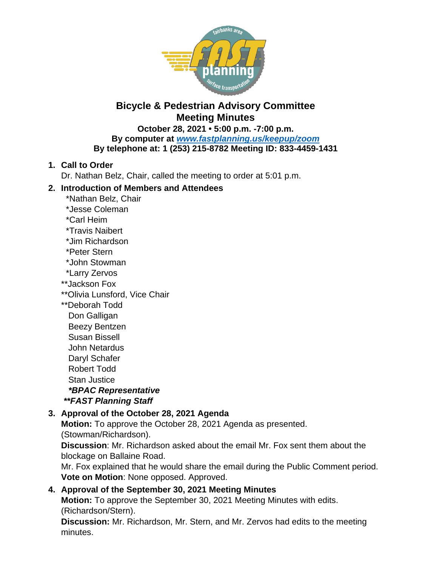

# **Bicycle & Pedestrian Advisory Committee Meeting Minutes**

**October 28, 2021 • 5:00 p.m. -7:00 p.m. By computer at** *[www.fastplanning.us/keepup/zoom](http://www.fastplanning.us/keepup/zoom)* **By telephone at: 1 (253) 215-8782 Meeting ID: 833-4459-1431**

# **1. Call to Order**

Dr. Nathan Belz, Chair, called the meeting to order at 5:01 p.m.

# **2. Introduction of Members and Attendees**

- \*Nathan Belz, Chair
- \*Jesse Coleman
- \*Carl Heim
- \*Travis Naibert
- \*Jim Richardson
- \*Peter Stern
- \*John Stowman
- \*Larry Zervos
- \*\*Jackson Fox
- \*\*Olivia Lunsford, Vice Chair
- \*\*Deborah Todd Don Galligan Beezy Bentzen Susan Bissell John Netardus Daryl Schafer Robert Todd Stan Justice  *\*BPAC Representative \*\*FAST Planning Staff*

# **3. Approval of the October 28, 2021 Agenda**

**Motion:** To approve the October 28, 2021 Agenda as presented. (Stowman/Richardson).

**Discussion**: Mr. Richardson asked about the email Mr. Fox sent them about the blockage on Ballaine Road.

Mr. Fox explained that he would share the email during the Public Comment period. **Vote on Motion**: None opposed. Approved.

# **4. Approval of the September 30, 2021 Meeting Minutes**

**Motion:** To approve the September 30, 2021 Meeting Minutes with edits. (Richardson/Stern).

**Discussion:** Mr. Richardson, Mr. Stern, and Mr. Zervos had edits to the meeting minutes.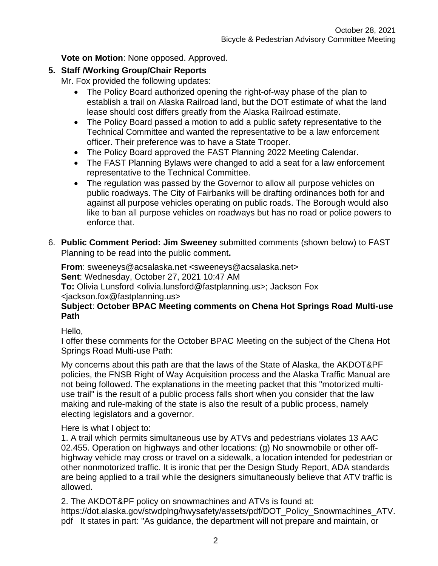**Vote on Motion**: None opposed. Approved.

# **5. Staff /Working Group/Chair Reports**

Mr. Fox provided the following updates:

- The Policy Board authorized opening the right-of-way phase of the plan to establish a trail on Alaska Railroad land, but the DOT estimate of what the land lease should cost differs greatly from the Alaska Railroad estimate.
- The Policy Board passed a motion to add a public safety representative to the Technical Committee and wanted the representative to be a law enforcement officer. Their preference was to have a State Trooper.
- The Policy Board approved the FAST Planning 2022 Meeting Calendar.
- The FAST Planning Bylaws were changed to add a seat for a law enforcement representative to the Technical Committee.
- The regulation was passed by the Governor to allow all purpose vehicles on public roadways. The City of Fairbanks will be drafting ordinances both for and against all purpose vehicles operating on public roads. The Borough would also like to ban all purpose vehicles on roadways but has no road or police powers to enforce that.
- 6. **Public Comment Period: Jim Sweeney** submitted comments (shown below) to FAST Planning to be read into the public comment**.**

**From**: sweeneys@acsalaska.net <sweeneys@acsalaska.net> **Sent**: Wednesday, October 27, 2021 10:47 AM **To:** Olivia Lunsford <olivia.lunsford@fastplanning.us>; Jackson Fox <jackson.fox@fastplanning.us>

#### **Subject**: **October BPAC Meeting comments on Chena Hot Springs Road Multi-use Path**

Hello,

I offer these comments for the October BPAC Meeting on the subject of the Chena Hot Springs Road Multi-use Path:

My concerns about this path are that the laws of the State of Alaska, the AKDOT&PF policies, the FNSB Right of Way Acquisition process and the Alaska Traffic Manual are not being followed. The explanations in the meeting packet that this "motorized multiuse trail" is the result of a public process falls short when you consider that the law making and rule-making of the state is also the result of a public process, namely electing legislators and a governor.

Here is what I object to:

1. A trail which permits simultaneous use by ATVs and pedestrians violates 13 AAC 02.455. Operation on highways and other locations: (g) No snowmobile or other offhighway vehicle may cross or travel on a sidewalk, a location intended for pedestrian or other nonmotorized traffic. It is ironic that per the Design Study Report, ADA standards are being applied to a trail while the designers simultaneously believe that ATV traffic is allowed.

2. The AKDOT&PF policy on snowmachines and ATVs is found at: https://dot.alaska.gov/stwdplng/hwysafety/assets/pdf/DOT\_Policy\_Snowmachines\_ATV. pdf It states in part: "As guidance, the department will not prepare and maintain, or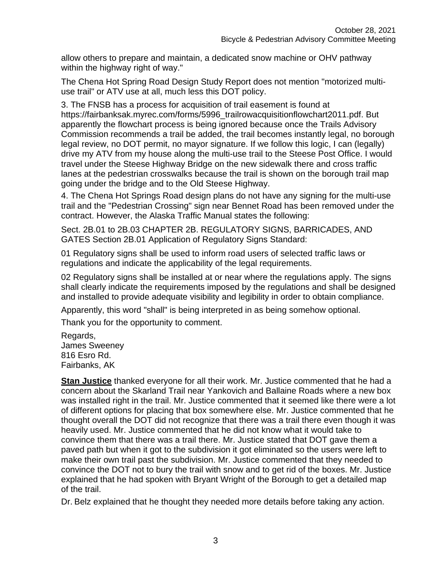allow others to prepare and maintain, a dedicated snow machine or OHV pathway within the highway right of way."

The Chena Hot Spring Road Design Study Report does not mention "motorized multiuse trail" or ATV use at all, much less this DOT policy.

3. The FNSB has a process for acquisition of trail easement is found at https://fairbanksak.myrec.com/forms/5996\_trailrowacquisitionflowchart2011.pdf. But apparently the flowchart process is being ignored because once the Trails Advisory Commission recommends a trail be added, the trail becomes instantly legal, no borough legal review, no DOT permit, no mayor signature. If we follow this logic, I can (legally) drive my ATV from my house along the multi-use trail to the Steese Post Office. I would travel under the Steese Highway Bridge on the new sidewalk there and cross traffic lanes at the pedestrian crosswalks because the trail is shown on the borough trail map going under the bridge and to the Old Steese Highway.

4. The Chena Hot Springs Road design plans do not have any signing for the multi-use trail and the "Pedestrian Crossing" sign near Bennet Road has been removed under the contract. However, the Alaska Traffic Manual states the following:

Sect. 2B.01 to 2B.03 CHAPTER 2B. REGULATORY SIGNS, BARRICADES, AND GATES Section 2B.01 Application of Regulatory Signs Standard:

01 Regulatory signs shall be used to inform road users of selected traffic laws or regulations and indicate the applicability of the legal requirements.

02 Regulatory signs shall be installed at or near where the regulations apply. The signs shall clearly indicate the requirements imposed by the regulations and shall be designed and installed to provide adequate visibility and legibility in order to obtain compliance.

Apparently, this word "shall" is being interpreted in as being somehow optional.

Thank you for the opportunity to comment.

Regards, James Sweeney 816 Esro Rd. Fairbanks, AK

**Stan Justice** thanked everyone for all their work. Mr. Justice commented that he had a concern about the Skarland Trail near Yankovich and Ballaine Roads where a new box was installed right in the trail. Mr. Justice commented that it seemed like there were a lot of different options for placing that box somewhere else. Mr. Justice commented that he thought overall the DOT did not recognize that there was a trail there even though it was heavily used. Mr. Justice commented that he did not know what it would take to convince them that there was a trail there. Mr. Justice stated that DOT gave them a paved path but when it got to the subdivision it got eliminated so the users were left to make their own trail past the subdivision. Mr. Justice commented that they needed to convince the DOT not to bury the trail with snow and to get rid of the boxes. Mr. Justice explained that he had spoken with Bryant Wright of the Borough to get a detailed map of the trail.

Dr. Belz explained that he thought they needed more details before taking any action.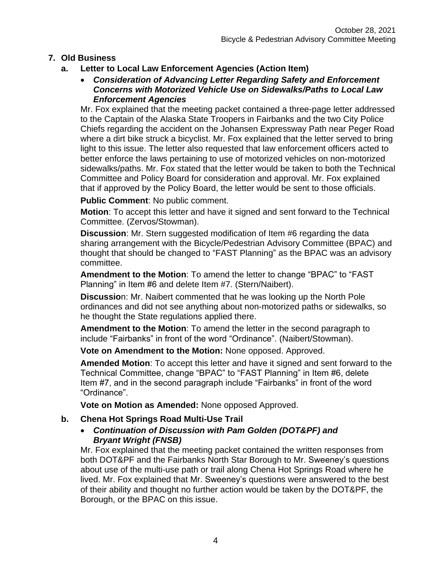# **7. Old Business**

- **a. Letter to Local Law Enforcement Agencies (Action Item)**
	- *Consideration of Advancing Letter Regarding Safety and Enforcement Concerns with Motorized Vehicle Use on Sidewalks/Paths to Local Law Enforcement Agencies*

Mr. Fox explained that the meeting packet contained a three-page letter addressed to the Captain of the Alaska State Troopers in Fairbanks and the two City Police Chiefs regarding the accident on the Johansen Expressway Path near Peger Road where a dirt bike struck a bicyclist. Mr. Fox explained that the letter served to bring light to this issue. The letter also requested that law enforcement officers acted to better enforce the laws pertaining to use of motorized vehicles on non-motorized sidewalks/paths. Mr. Fox stated that the letter would be taken to both the Technical Committee and Policy Board for consideration and approval. Mr. Fox explained that if approved by the Policy Board, the letter would be sent to those officials.

**Public Comment**: No public comment.

**Motion**: To accept this letter and have it signed and sent forward to the Technical Committee. (Zervos/Stowman).

**Discussion**: Mr. Stern suggested modification of Item #6 regarding the data sharing arrangement with the Bicycle/Pedestrian Advisory Committee (BPAC) and thought that should be changed to "FAST Planning" as the BPAC was an advisory committee.

**Amendment to the Motion**: To amend the letter to change "BPAC" to "FAST Planning" in Item #6 and delete Item #7. (Stern/Naibert).

**Discussio**n: Mr. Naibert commented that he was looking up the North Pole ordinances and did not see anything about non-motorized paths or sidewalks, so he thought the State regulations applied there.

**Amendment to the Motion**: To amend the letter in the second paragraph to include "Fairbanks" in front of the word "Ordinance". (Naibert/Stowman).

**Vote on Amendment to the Motion:** None opposed. Approved.

**Amended Motion**: To accept this letter and have it signed and sent forward to the Technical Committee, change "BPAC" to "FAST Planning" in Item #6, delete Item #7, and in the second paragraph include "Fairbanks" in front of the word "Ordinance".

**Vote on Motion as Amended:** None opposed Approved.

## **b. Chena Hot Springs Road Multi-Use Trail**

#### *Continuation of Discussion with Pam Golden (DOT&PF) and Bryant Wright (FNSB)*

Mr. Fox explained that the meeting packet contained the written responses from both DOT&PF and the Fairbanks North Star Borough to Mr. Sweeney's questions about use of the multi-use path or trail along Chena Hot Springs Road where he lived. Mr. Fox explained that Mr. Sweeney's questions were answered to the best of their ability and thought no further action would be taken by the DOT&PF, the Borough, or the BPAC on this issue.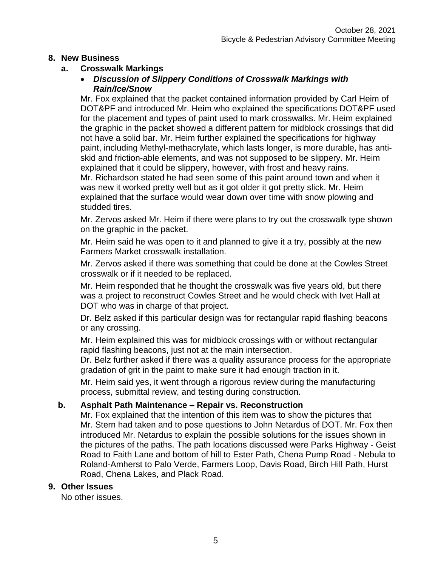# **8. New Business**

## **a. Crosswalk Markings**

#### *Discussion of Slippery Conditions of Crosswalk Markings with Rain/Ice/Snow*

Mr. Fox explained that the packet contained information provided by Carl Heim of DOT&PF and introduced Mr. Heim who explained the specifications DOT&PF used for the placement and types of paint used to mark crosswalks. Mr. Heim explained the graphic in the packet showed a different pattern for midblock crossings that did not have a solid bar. Mr. Heim further explained the specifications for highway paint, including Methyl-methacrylate, which lasts longer, is more durable, has antiskid and friction-able elements, and was not supposed to be slippery. Mr. Heim explained that it could be slippery, however, with frost and heavy rains. Mr. Richardson stated he had seen some of this paint around town and when it was new it worked pretty well but as it got older it got pretty slick. Mr. Heim explained that the surface would wear down over time with snow plowing and studded tires.

Mr. Zervos asked Mr. Heim if there were plans to try out the crosswalk type shown on the graphic in the packet.

Mr. Heim said he was open to it and planned to give it a try, possibly at the new Farmers Market crosswalk installation.

Mr. Zervos asked if there was something that could be done at the Cowles Street crosswalk or if it needed to be replaced.

Mr. Heim responded that he thought the crosswalk was five years old, but there was a project to reconstruct Cowles Street and he would check with Ivet Hall at DOT who was in charge of that project.

Dr. Belz asked if this particular design was for rectangular rapid flashing beacons or any crossing.

Mr. Heim explained this was for midblock crossings with or without rectangular rapid flashing beacons, just not at the main intersection.

Dr. Belz further asked if there was a quality assurance process for the appropriate gradation of grit in the paint to make sure it had enough traction in it.

Mr. Heim said yes, it went through a rigorous review during the manufacturing process, submittal review, and testing during construction.

## **b. Asphalt Path Maintenance – Repair vs. Reconstruction**

Mr. Fox explained that the intention of this item was to show the pictures that Mr. Stern had taken and to pose questions to John Netardus of DOT. Mr. Fox then introduced Mr. Netardus to explain the possible solutions for the issues shown in the pictures of the paths. The path locations discussed were Parks Highway - Geist Road to Faith Lane and bottom of hill to Ester Path, Chena Pump Road - Nebula to Roland-Amherst to Palo Verde, Farmers Loop, Davis Road, Birch Hill Path, Hurst Road, Chena Lakes, and Plack Road.

## **9. Other Issues**

No other issues.